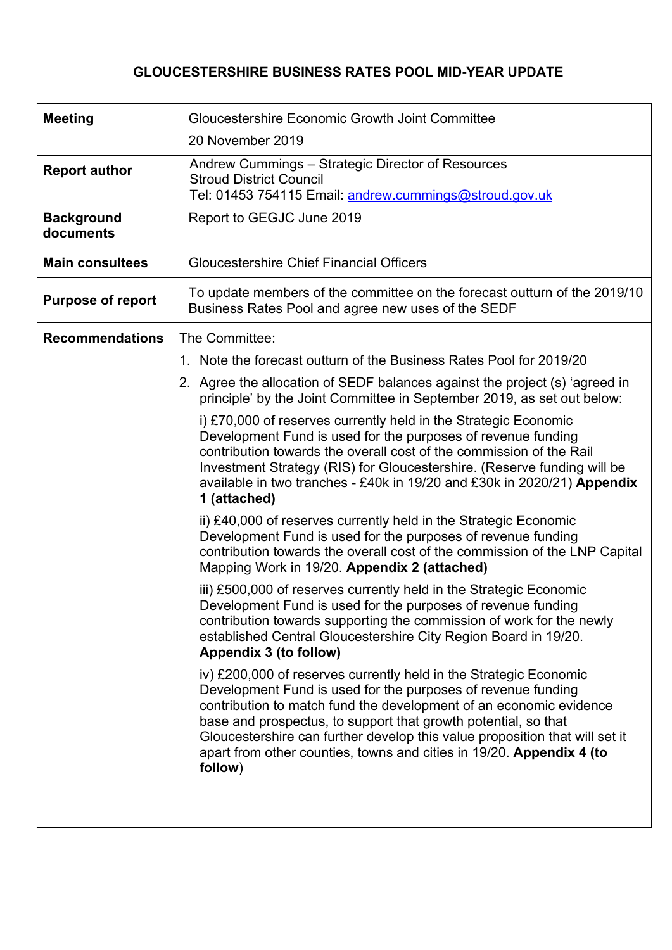# **GLOUCESTERSHIRE BUSINESS RATES POOL MID-YEAR UPDATE**

| <b>Meeting</b>                 | <b>Gloucestershire Economic Growth Joint Committee</b><br>20 November 2019                                                                                                                                                                                                                                                                                                                                                                  |  |  |  |  |
|--------------------------------|---------------------------------------------------------------------------------------------------------------------------------------------------------------------------------------------------------------------------------------------------------------------------------------------------------------------------------------------------------------------------------------------------------------------------------------------|--|--|--|--|
| <b>Report author</b>           | Andrew Cummings – Strategic Director of Resources<br><b>Stroud District Council</b><br>Tel: 01453 754115 Email: andrew.cummings@stroud.gov.uk                                                                                                                                                                                                                                                                                               |  |  |  |  |
| <b>Background</b><br>documents | Report to GEGJC June 2019                                                                                                                                                                                                                                                                                                                                                                                                                   |  |  |  |  |
| <b>Main consultees</b>         | <b>Gloucestershire Chief Financial Officers</b>                                                                                                                                                                                                                                                                                                                                                                                             |  |  |  |  |
| <b>Purpose of report</b>       | To update members of the committee on the forecast outturn of the 2019/10<br>Business Rates Pool and agree new uses of the SEDF                                                                                                                                                                                                                                                                                                             |  |  |  |  |
| <b>Recommendations</b>         | The Committee:                                                                                                                                                                                                                                                                                                                                                                                                                              |  |  |  |  |
|                                | 1. Note the forecast outturn of the Business Rates Pool for 2019/20                                                                                                                                                                                                                                                                                                                                                                         |  |  |  |  |
|                                | 2. Agree the allocation of SEDF balances against the project (s) 'agreed in<br>principle' by the Joint Committee in September 2019, as set out below:                                                                                                                                                                                                                                                                                       |  |  |  |  |
|                                | i) £70,000 of reserves currently held in the Strategic Economic<br>Development Fund is used for the purposes of revenue funding<br>contribution towards the overall cost of the commission of the Rail<br>Investment Strategy (RIS) for Gloucestershire. (Reserve funding will be<br>available in two tranches - £40k in 19/20 and £30k in 2020/21) Appendix<br>1 (attached)                                                                |  |  |  |  |
|                                | ii) £40,000 of reserves currently held in the Strategic Economic<br>Development Fund is used for the purposes of revenue funding<br>contribution towards the overall cost of the commission of the LNP Capital<br>Mapping Work in 19/20. Appendix 2 (attached)                                                                                                                                                                              |  |  |  |  |
|                                | iii) £500,000 of reserves currently held in the Strategic Economic<br>Development Fund is used for the purposes of revenue funding<br>contribution towards supporting the commission of work for the newly<br>established Central Gloucestershire City Region Board in 19/20.<br>Appendix 3 (to follow)                                                                                                                                     |  |  |  |  |
|                                | iv) £200,000 of reserves currently held in the Strategic Economic<br>Development Fund is used for the purposes of revenue funding<br>contribution to match fund the development of an economic evidence<br>base and prospectus, to support that growth potential, so that<br>Gloucestershire can further develop this value proposition that will set it<br>apart from other counties, towns and cities in 19/20. Appendix 4 (to<br>follow) |  |  |  |  |
|                                |                                                                                                                                                                                                                                                                                                                                                                                                                                             |  |  |  |  |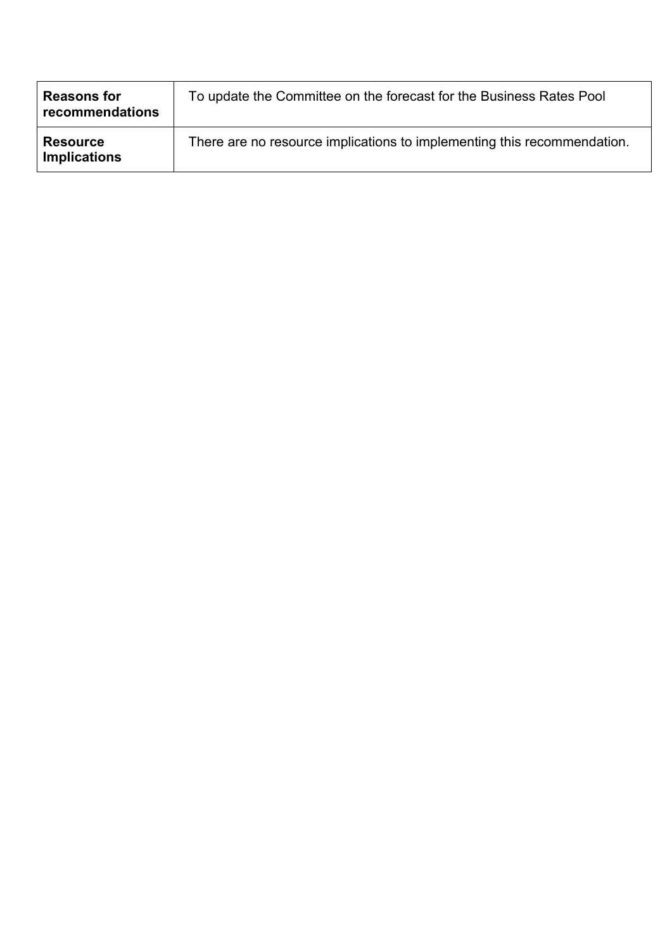| <b>Reasons for</b><br>recommendations  | To update the Committee on the forecast for the Business Rates Pool     |
|----------------------------------------|-------------------------------------------------------------------------|
| <b>Resource</b><br><b>Implications</b> | There are no resource implications to implementing this recommendation. |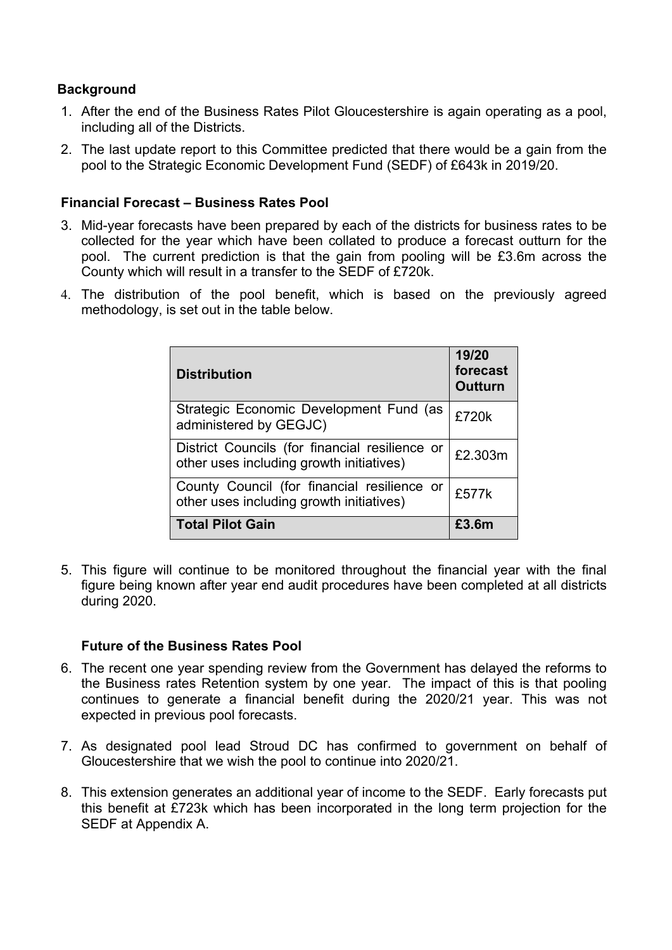## **Background**

- 1. After the end of the Business Rates Pilot Gloucestershire is again operating as a pool, including all of the Districts.
- 2. The last update report to this Committee predicted that there would be a gain from the pool to the Strategic Economic Development Fund (SEDF) of £643k in 2019/20.

#### **Financial Forecast – Business Rates Pool**

- 3. Mid-year forecasts have been prepared by each of the districts for business rates to be collected for the year which have been collated to produce a forecast outturn for the pool. The current prediction is that the gain from pooling will be £3.6m across the County which will result in a transfer to the SEDF of £720k.
- 4. The distribution of the pool benefit, which is based on the previously agreed methodology, is set out in the table below.

| <b>Distribution</b>                                                                        | 19/20<br>forecast<br><b>Outturn</b> |
|--------------------------------------------------------------------------------------------|-------------------------------------|
| Strategic Economic Development Fund (as<br>administered by GEGJC)                          | £720k                               |
| District Councils (for financial resilience or<br>other uses including growth initiatives) | £2.303m                             |
| County Council (for financial resilience or<br>other uses including growth initiatives)    | £577k                               |
| <b>Total Pilot Gain</b>                                                                    | £3.6m                               |

5. This figure will continue to be monitored throughout the financial year with the final figure being known after year end audit procedures have been completed at all districts during 2020.

#### **Future of the Business Rates Pool**

- 6. The recent one year spending review from the Government has delayed the reforms to the Business rates Retention system by one year. The impact of this is that pooling continues to generate a financial benefit during the 2020/21 year. This was not expected in previous pool forecasts.
- 7. As designated pool lead Stroud DC has confirmed to government on behalf of Gloucestershire that we wish the pool to continue into 2020/21.
- 8. This extension generates an additional year of income to the SEDF. Early forecasts put this benefit at £723k which has been incorporated in the long term projection for the SEDF at Appendix A.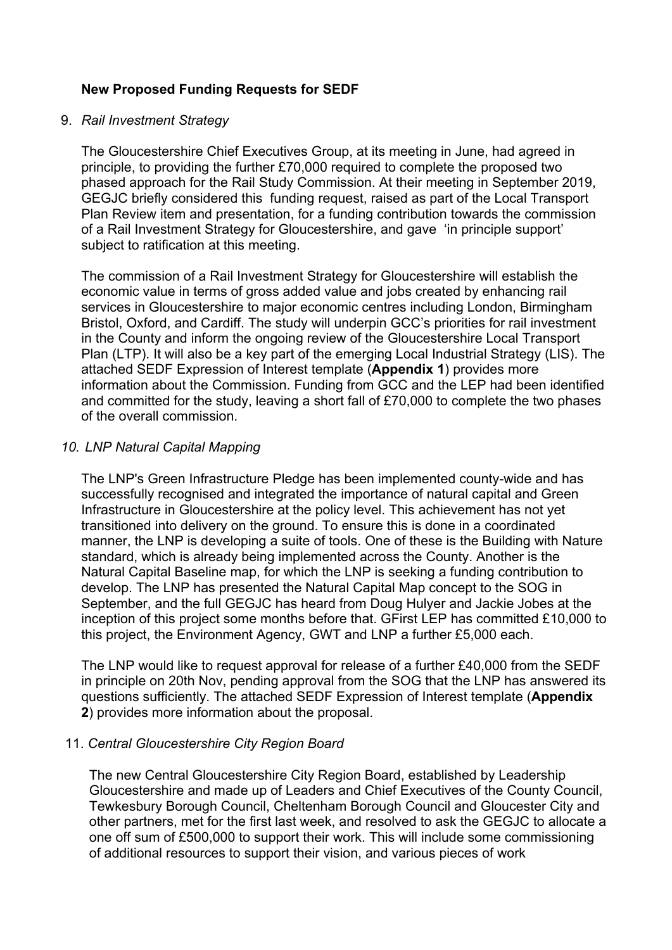### **New Proposed Funding Requests for SEDF**

#### 9. *Rail Investment Strategy*

The Gloucestershire Chief Executives Group, at its meeting in June, had agreed in principle, to providing the further £70,000 required to complete the proposed two phased approach for the Rail Study Commission. At their meeting in September 2019, GEGJC briefly considered this funding request, raised as part of the Local Transport Plan Review item and presentation, for a funding contribution towards the commission of a Rail Investment Strategy for Gloucestershire, and gave 'in principle support' subject to ratification at this meeting.

The commission of a Rail Investment Strategy for Gloucestershire will establish the economic value in terms of gross added value and jobs created by enhancing rail services in Gloucestershire to major economic centres including London, Birmingham Bristol, Oxford, and Cardiff. The study will underpin GCC's priorities for rail investment in the County and inform the ongoing review of the Gloucestershire Local Transport Plan (LTP). It will also be a key part of the emerging Local Industrial Strategy (LIS). The attached SEDF Expression of Interest template (**Appendix 1**) provides more information about the Commission. Funding from GCC and the LEP had been identified and committed for the study, leaving a short fall of £70,000 to complete the two phases of the overall commission.

#### *10. LNP Natural Capital Mapping*

The LNP's Green Infrastructure Pledge has been implemented county-wide and has successfully recognised and integrated the importance of natural capital and Green Infrastructure in Gloucestershire at the policy level. This achievement has not yet transitioned into delivery on the ground. To ensure this is done in a coordinated manner, the LNP is developing a suite of tools. One of these is the Building with Nature standard, which is already being implemented across the County. Another is the Natural Capital Baseline map, for which the LNP is seeking a funding contribution to develop. The LNP has presented the Natural Capital Map concept to the SOG in September, and the full GEGJC has heard from Doug Hulyer and Jackie Jobes at the inception of this project some months before that. GFirst LEP has committed £10,000 to this project, the Environment Agency, GWT and LNP a further £5,000 each.

The LNP would like to request approval for release of a further £40,000 from the SEDF in principle on 20th Nov, pending approval from the SOG that the LNP has answered its questions sufficiently. The attached SEDF Expression of Interest template (**Appendix 2**) provides more information about the proposal.

#### 11. *Central Gloucestershire City Region Board*

The new Central Gloucestershire City Region Board, established by Leadership Gloucestershire and made up of Leaders and Chief Executives of the County Council, Tewkesbury Borough Council, Cheltenham Borough Council and Gloucester City and other partners, met for the first last week, and resolved to ask the GEGJC to allocate a one off sum of £500,000 to support their work. This will include some commissioning of additional resources to support their vision, and various pieces of work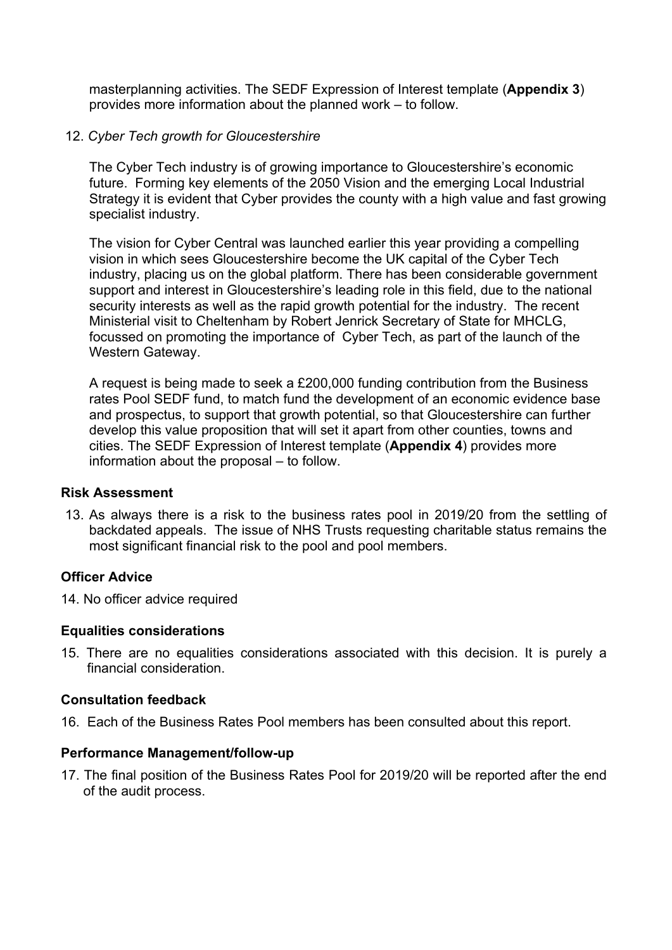masterplanning activities. The SEDF Expression of Interest template (**Appendix 3**) provides more information about the planned work – to follow.

#### 12. *Cyber Tech growth for Gloucestershire*

The Cyber Tech industry is of growing importance to Gloucestershire's economic future. Forming key elements of the 2050 Vision and the emerging Local Industrial Strategy it is evident that Cyber provides the county with a high value and fast growing specialist industry.

The vision for Cyber Central was launched earlier this year providing a compelling vision in which sees Gloucestershire become the UK capital of the Cyber Tech industry, placing us on the global platform. There has been considerable government support and interest in Gloucestershire's leading role in this field, due to the national security interests as well as the rapid growth potential for the industry. The recent Ministerial visit to Cheltenham by Robert Jenrick Secretary of State for MHCLG, focussed on promoting the importance of Cyber Tech, as part of the launch of the Western Gateway.

A request is being made to seek a £200,000 funding contribution from the Business rates Pool SEDF fund, to match fund the development of an economic evidence base and prospectus, to support that growth potential, so that Gloucestershire can further develop this value proposition that will set it apart from other counties, towns and cities. The SEDF Expression of Interest template (**Appendix 4**) provides more information about the proposal – to follow.

#### **Risk Assessment**

13. As always there is a risk to the business rates pool in 2019/20 from the settling of backdated appeals. The issue of NHS Trusts requesting charitable status remains the most significant financial risk to the pool and pool members.

#### **Officer Advice**

14. No officer advice required

#### **Equalities considerations**

15. There are no equalities considerations associated with this decision. It is purely a financial consideration.

#### **Consultation feedback**

16. Each of the Business Rates Pool members has been consulted about this report.

#### **Performance Management/follow-up**

17. The final position of the Business Rates Pool for 2019/20 will be reported after the end of the audit process.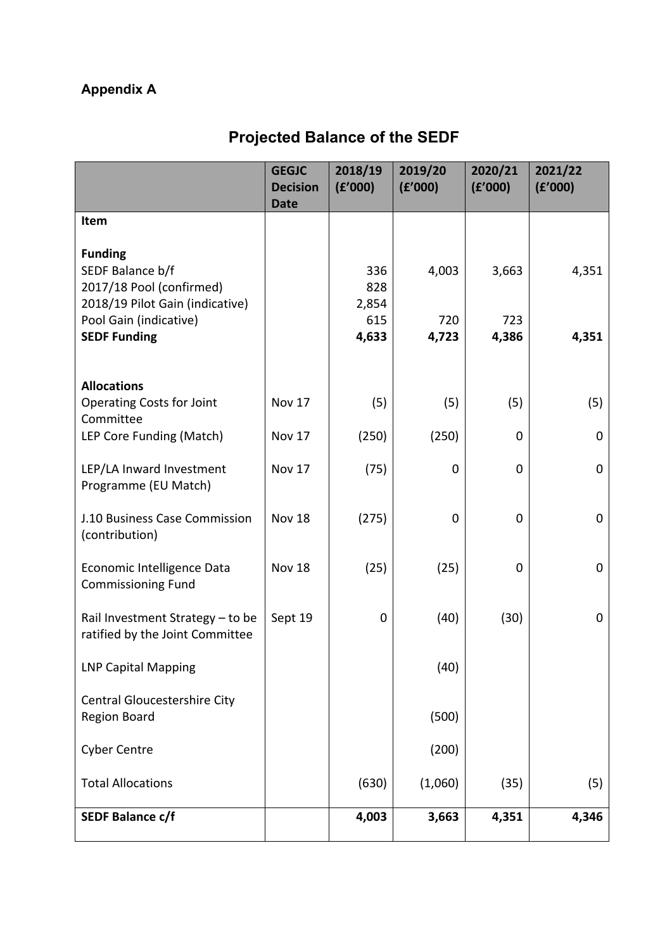# **Appendix A**

# **Projected Balance of the SEDF**

|                                                                                                   | <b>GEGJC</b><br><b>Decision</b><br><b>Date</b> | 2018/19<br>(f'000)  | 2019/20<br>(E'000) | 2020/21<br>(E'000) | 2021/22<br>(E'000) |
|---------------------------------------------------------------------------------------------------|------------------------------------------------|---------------------|--------------------|--------------------|--------------------|
| Item                                                                                              |                                                |                     |                    |                    |                    |
| <b>Funding</b><br>SEDF Balance b/f<br>2017/18 Pool (confirmed)<br>2018/19 Pilot Gain (indicative) |                                                | 336<br>828<br>2,854 | 4,003              | 3,663              | 4,351              |
| Pool Gain (indicative)<br><b>SEDF Funding</b>                                                     |                                                | 615<br>4,633        | 720<br>4,723       | 723<br>4,386       | 4,351              |
|                                                                                                   |                                                |                     |                    |                    |                    |
| <b>Allocations</b><br><b>Operating Costs for Joint</b><br>Committee                               | Nov 17                                         | (5)                 | (5)                | (5)                | (5)                |
| LEP Core Funding (Match)                                                                          | Nov 17                                         | (250)               | (250)              | 0                  | $\mathbf 0$        |
| LEP/LA Inward Investment<br>Programme (EU Match)                                                  | <b>Nov 17</b>                                  | (75)                | 0                  | $\mathbf 0$        | $\mathbf 0$        |
| J.10 Business Case Commission<br>(contribution)                                                   | <b>Nov 18</b>                                  | (275)               | $\mathbf 0$        | 0                  | $\mathbf 0$        |
| Economic Intelligence Data<br><b>Commissioning Fund</b>                                           | <b>Nov 18</b>                                  | (25)                | (25)               | 0                  | $\mathbf 0$        |
| Rail Investment Strategy - to be<br>ratified by the Joint Committee                               | Sept 19                                        | 0                   | (40)               | (30)               | $\pmb{0}$          |
| <b>LNP Capital Mapping</b>                                                                        |                                                |                     | (40)               |                    |                    |
| <b>Central Gloucestershire City</b><br>Region Board                                               |                                                |                     | (500)              |                    |                    |
| <b>Cyber Centre</b>                                                                               |                                                |                     | (200)              |                    |                    |
| <b>Total Allocations</b>                                                                          |                                                | (630)               | (1,060)            | (35)               | (5)                |
| <b>SEDF Balance c/f</b>                                                                           |                                                | 4,003               | 3,663              | 4,351              | 4,346              |